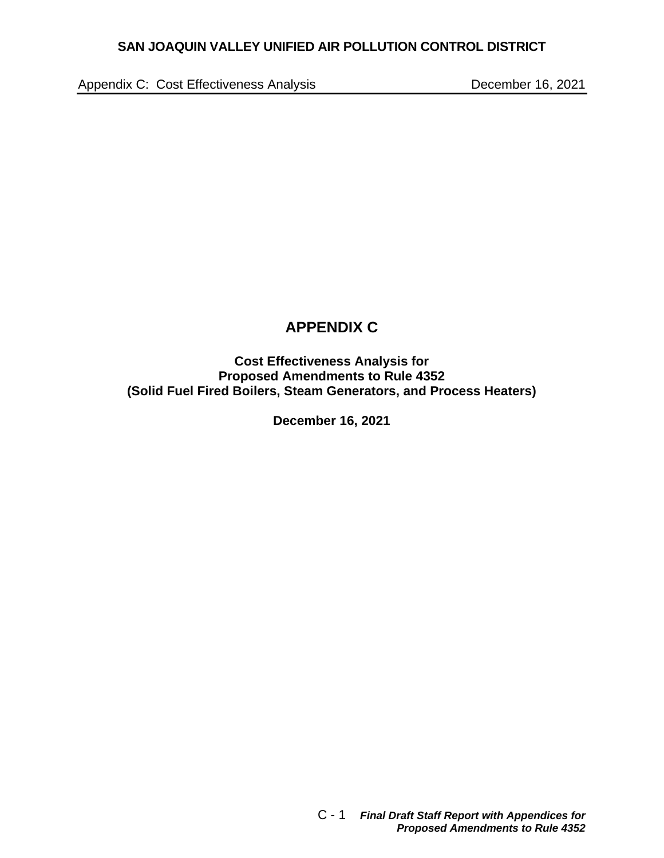# **APPENDIX C**

**Cost Effectiveness Analysis for Proposed Amendments to Rule 4352 (Solid Fuel Fired Boilers, Steam Generators, and Process Heaters)**

**December 16, 2021**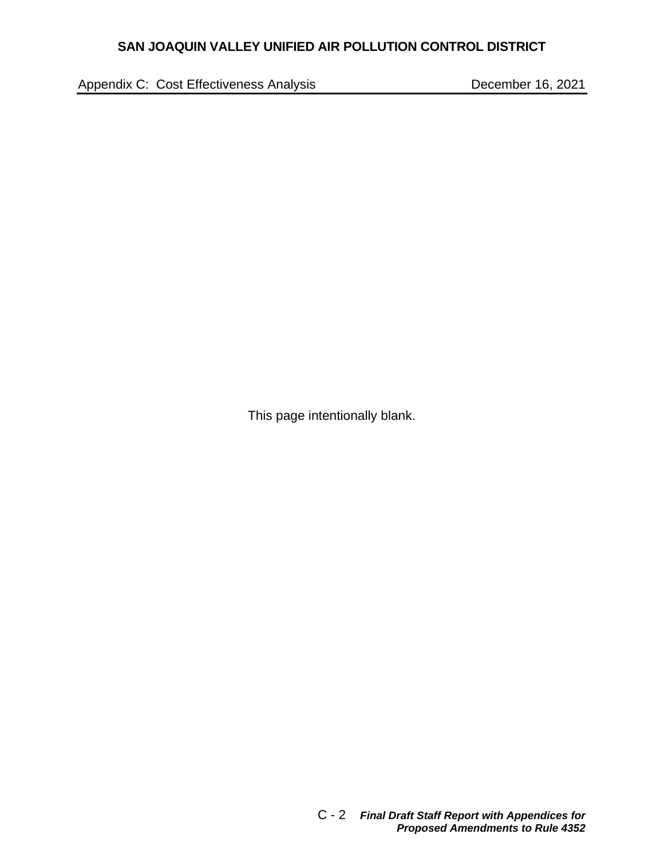This page intentionally blank.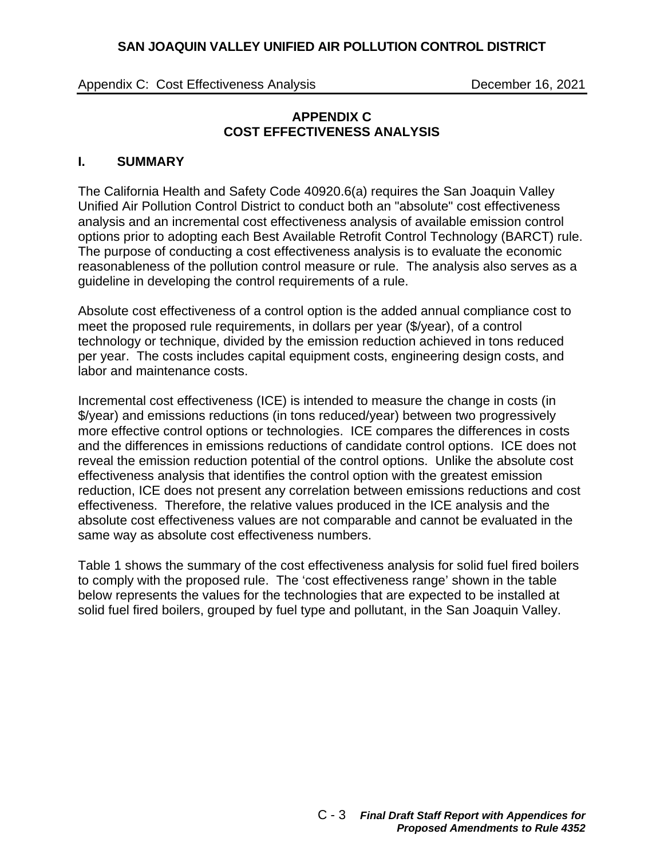Appendix C: Cost Effectiveness Analysis **December 16, 2021** 

#### **APPENDIX C COST EFFECTIVENESS ANALYSIS**

#### **I. SUMMARY**

The California Health and Safety Code 40920.6(a) requires the San Joaquin Valley Unified Air Pollution Control District to conduct both an "absolute" cost effectiveness analysis and an incremental cost effectiveness analysis of available emission control options prior to adopting each Best Available Retrofit Control Technology (BARCT) rule. The purpose of conducting a cost effectiveness analysis is to evaluate the economic reasonableness of the pollution control measure or rule. The analysis also serves as a guideline in developing the control requirements of a rule.

Absolute cost effectiveness of a control option is the added annual compliance cost to meet the proposed rule requirements, in dollars per year (\$/year), of a control technology or technique, divided by the emission reduction achieved in tons reduced per year. The costs includes capital equipment costs, engineering design costs, and labor and maintenance costs.

Incremental cost effectiveness (ICE) is intended to measure the change in costs (in \$/year) and emissions reductions (in tons reduced/year) between two progressively more effective control options or technologies. ICE compares the differences in costs and the differences in emissions reductions of candidate control options. ICE does not reveal the emission reduction potential of the control options. Unlike the absolute cost effectiveness analysis that identifies the control option with the greatest emission reduction, ICE does not present any correlation between emissions reductions and cost effectiveness. Therefore, the relative values produced in the ICE analysis and the absolute cost effectiveness values are not comparable and cannot be evaluated in the same way as absolute cost effectiveness numbers.

Table 1 shows the summary of the cost effectiveness analysis for solid fuel fired boilers to comply with the proposed rule. The 'cost effectiveness range' shown in the table below represents the values for the technologies that are expected to be installed at solid fuel fired boilers, grouped by fuel type and pollutant, in the San Joaquin Valley.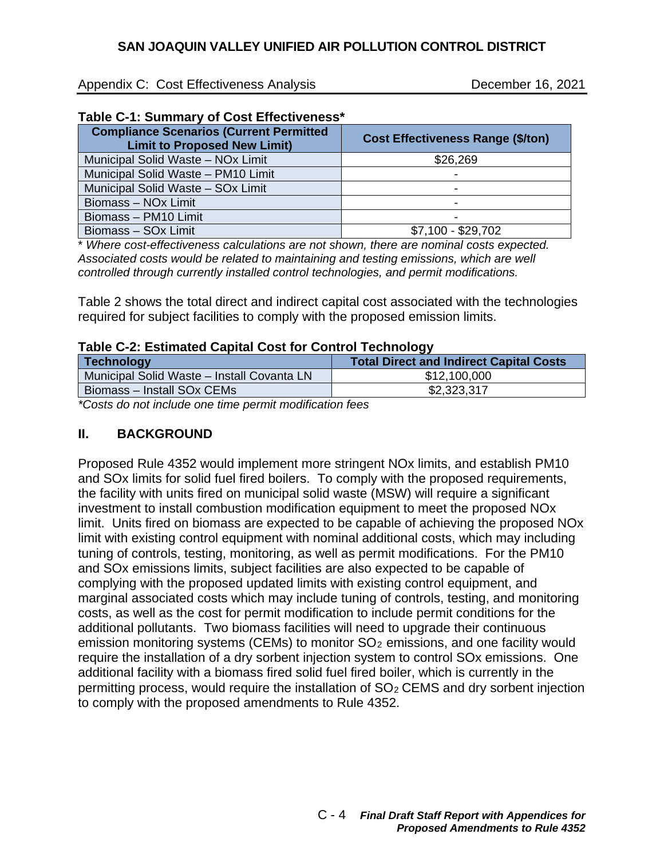| $1400$ $\sigma$ $1.$ Ourmany of OOS, Enconvences                                      |                                          |
|---------------------------------------------------------------------------------------|------------------------------------------|
| <b>Compliance Scenarios (Current Permitted</b><br><b>Limit to Proposed New Limit)</b> | <b>Cost Effectiveness Range (\$/ton)</b> |
| Municipal Solid Waste - NOx Limit                                                     | \$26,269                                 |
| Municipal Solid Waste - PM10 Limit                                                    |                                          |
| Municipal Solid Waste - SOx Limit                                                     |                                          |
| Biomass - NOx Limit                                                                   |                                          |
| Biomass - PM10 Limit                                                                  |                                          |
| Biomass - SOx Limit                                                                   | $$7,100 - $29,702$                       |

#### **Table C-1: Summary of Cost Effectiveness\***

\* *Where cost-effectiveness calculations are not shown, there are nominal costs expected. Associated costs would be related to maintaining and testing emissions, which are well controlled through currently installed control technologies, and permit modifications.* 

Table 2 shows the total direct and indirect capital cost associated with the technologies required for subject facilities to comply with the proposed emission limits.

#### **Table C-2: Estimated Capital Cost for Control Technology**

| <b>Technology</b>                          | <b>Total Direct and Indirect Capital Costs</b> |
|--------------------------------------------|------------------------------------------------|
| Municipal Solid Waste - Install Covanta LN | \$12,100,000                                   |
| Biomass - Install SOx CEMs                 | \$2,323,317                                    |

*\*Costs do not include one time permit modification fees*

## **II. BACKGROUND**

Proposed Rule 4352 would implement more stringent NOx limits, and establish PM10 and SOx limits for solid fuel fired boilers. To comply with the proposed requirements, the facility with units fired on municipal solid waste (MSW) will require a significant investment to install combustion modification equipment to meet the proposed NOx limit. Units fired on biomass are expected to be capable of achieving the proposed NOx limit with existing control equipment with nominal additional costs, which may including tuning of controls, testing, monitoring, as well as permit modifications. For the PM10 and SOx emissions limits, subject facilities are also expected to be capable of complying with the proposed updated limits with existing control equipment, and marginal associated costs which may include tuning of controls, testing, and monitoring costs, as well as the cost for permit modification to include permit conditions for the additional pollutants. Two biomass facilities will need to upgrade their continuous emission monitoring systems (CEMs) to monitor  $SO<sub>2</sub>$  emissions, and one facility would require the installation of a dry sorbent injection system to control SOx emissions. One additional facility with a biomass fired solid fuel fired boiler, which is currently in the permitting process, would require the installation of  $SO<sub>2</sub>$  CEMS and dry sorbent injection to comply with the proposed amendments to Rule 4352.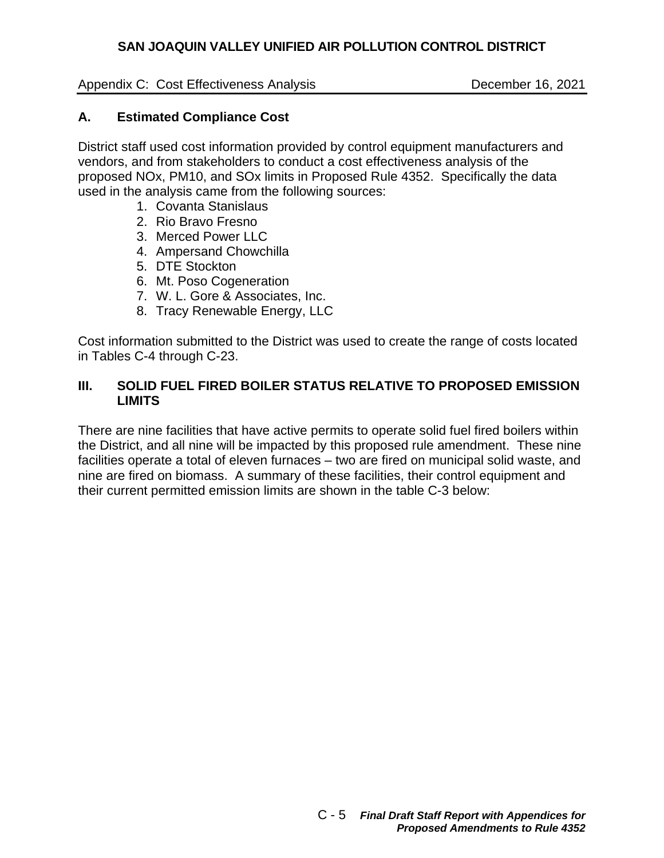#### **A. Estimated Compliance Cost**

District staff used cost information provided by control equipment manufacturers and vendors, and from stakeholders to conduct a cost effectiveness analysis of the proposed NOx, PM10, and SOx limits in Proposed Rule 4352. Specifically the data used in the analysis came from the following sources:

- 1. Covanta Stanislaus
- 2. Rio Bravo Fresno
- 3. Merced Power LLC
- 4. Ampersand Chowchilla
- 5. DTE Stockton
- 6. Mt. Poso Cogeneration
- 7. W. L. Gore & Associates, Inc.
- 8. Tracy Renewable Energy, LLC

Cost information submitted to the District was used to create the range of costs located in Tables C-4 through C-23.

#### **III. SOLID FUEL FIRED BOILER STATUS RELATIVE TO PROPOSED EMISSION LIMITS**

There are nine facilities that have active permits to operate solid fuel fired boilers within the District, and all nine will be impacted by this proposed rule amendment. These nine facilities operate a total of eleven furnaces – two are fired on municipal solid waste, and nine are fired on biomass. A summary of these facilities, their control equipment and their current permitted emission limits are shown in the table C-3 below: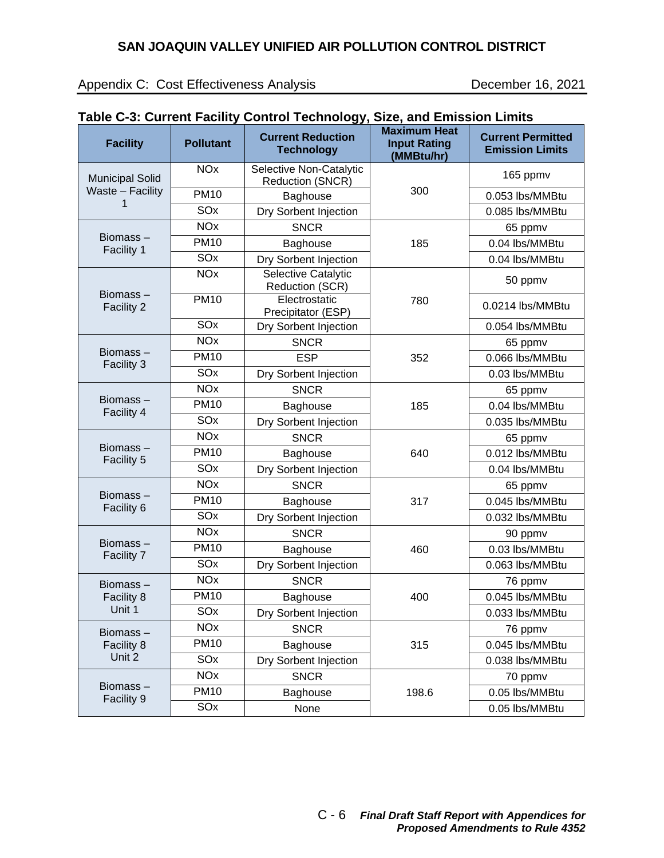| <b>Facility</b>        | <b>Pollutant</b>      | <b>Current Reduction</b><br><b>Technology</b> | <b>Maximum Heat</b><br><b>Input Rating</b><br>(MMBtu/hr) | <b>Current Permitted</b><br><b>Emission Limits</b> |
|------------------------|-----------------------|-----------------------------------------------|----------------------------------------------------------|----------------------------------------------------|
| <b>Municipal Solid</b> | <b>NO<sub>x</sub></b> | Selective Non-Catalytic<br>Reduction (SNCR)   |                                                          | 165 ppmv                                           |
| Waste - Facility       | <b>PM10</b>           | Baghouse                                      | 300                                                      | 0.053 lbs/MMBtu                                    |
|                        | SOx                   | Dry Sorbent Injection                         |                                                          | 0.085 lbs/MMBtu                                    |
|                        | <b>NOx</b>            | <b>SNCR</b>                                   |                                                          | 65 ppmv                                            |
| Biomass-<br>Facility 1 | <b>PM10</b>           | Baghouse                                      | 185                                                      | 0.04 lbs/MMBtu                                     |
|                        | SOx                   | Dry Sorbent Injection                         |                                                          | 0.04 lbs/MMBtu                                     |
|                        | <b>NO<sub>x</sub></b> | Selective Catalytic<br>Reduction (SCR)        |                                                          | 50 ppmv                                            |
| Biomass-<br>Facility 2 | <b>PM10</b>           | Electrostatic<br>Precipitator (ESP)           | 780                                                      | 0.0214 lbs/MMBtu                                   |
|                        | $\overline{SOX}$      | Dry Sorbent Injection                         |                                                          | 0.054 lbs/MMBtu                                    |
|                        | <b>NOx</b>            | <b>SNCR</b>                                   |                                                          | 65 ppmv                                            |
| Biomass-<br>Facility 3 | <b>PM10</b>           | <b>ESP</b>                                    | 352                                                      | 0.066 lbs/MMBtu                                    |
|                        | SOx                   | Dry Sorbent Injection                         |                                                          | 0.03 lbs/MMBtu                                     |
|                        | <b>NOx</b>            | <b>SNCR</b>                                   |                                                          | 65 ppmv                                            |
| Biomass-<br>Facility 4 | <b>PM10</b>           | Baghouse                                      | 185                                                      | 0.04 lbs/MMBtu                                     |
|                        | SOx                   | Dry Sorbent Injection                         |                                                          | 0.035 lbs/MMBtu                                    |
|                        | <b>NO<sub>x</sub></b> | <b>SNCR</b>                                   |                                                          | 65 ppmv                                            |
| Biomass-<br>Facility 5 | <b>PM10</b>           | Baghouse                                      | 640                                                      | 0.012 lbs/MMBtu                                    |
|                        | SOx                   | Dry Sorbent Injection                         |                                                          | 0.04 lbs/MMBtu                                     |
|                        | <b>NO<sub>x</sub></b> | <b>SNCR</b>                                   |                                                          | 65 ppmv                                            |
| Biomass-<br>Facility 6 | <b>PM10</b>           | Baghouse                                      | 317                                                      | 0.045 lbs/MMBtu                                    |
|                        | SOx                   | Dry Sorbent Injection                         |                                                          | 0.032 lbs/MMBtu                                    |
|                        | <b>NO<sub>x</sub></b> | <b>SNCR</b>                                   |                                                          | 90 ppmv                                            |
| Biomass-<br>Facility 7 | <b>PM10</b>           | Baghouse                                      | 460                                                      | 0.03 lbs/MMBtu                                     |
|                        | SOx                   | Dry Sorbent Injection                         |                                                          | 0.063 lbs/MMBtu                                    |
| Biomass-               | <b>NO<sub>x</sub></b> | <b>SNCR</b>                                   |                                                          | 76 ppmv                                            |
| Facility 8             | <b>PM10</b>           | Baghouse                                      | 400                                                      | 0.045 lbs/MMBtu                                    |
| Unit 1                 | SOx                   | Dry Sorbent Injection                         |                                                          | 0.033 lbs/MMBtu                                    |
| Biomass-               | <b>NO<sub>x</sub></b> | <b>SNCR</b>                                   |                                                          | 76 ppmv                                            |
| Facility 8             | <b>PM10</b>           | Baghouse                                      | 315                                                      | 0.045 lbs/MMBtu                                    |
| Unit 2                 | SOx                   | Dry Sorbent Injection                         |                                                          | 0.038 lbs/MMBtu                                    |
|                        | <b>NO<sub>x</sub></b> | <b>SNCR</b>                                   |                                                          | 70 ppmv                                            |
| Biomass-<br>Facility 9 | <b>PM10</b>           | Baghouse                                      | 198.6                                                    | 0.05 lbs/MMBtu                                     |
|                        | SOX                   | None                                          |                                                          | 0.05 lbs/MMBtu                                     |

## **Table C-3: Current Facility Control Technology, Size, and Emission Limits**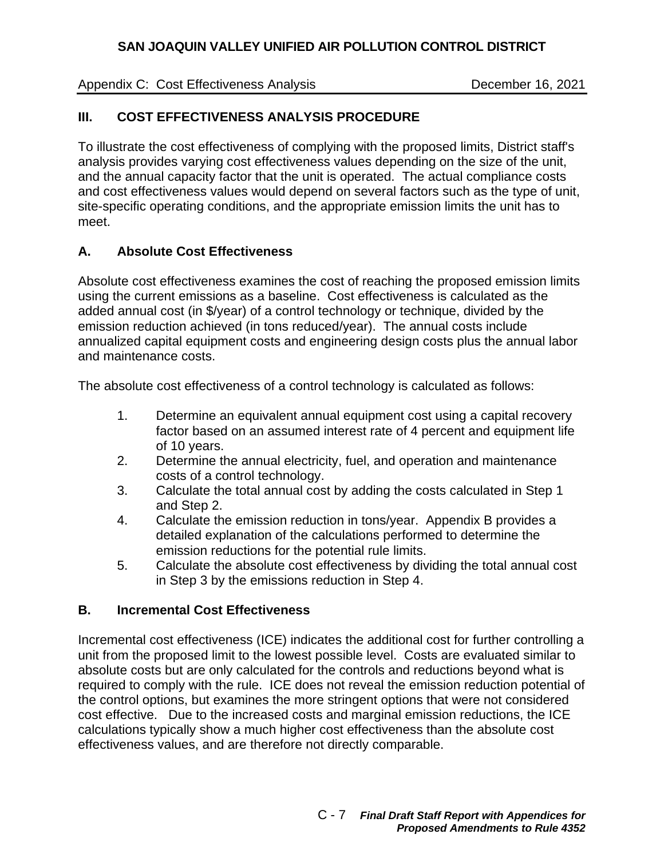Appendix C: Cost Effectiveness Analysis **December 16, 2021** 

#### **III. COST EFFECTIVENESS ANALYSIS PROCEDURE**

To illustrate the cost effectiveness of complying with the proposed limits, District staff's analysis provides varying cost effectiveness values depending on the size of the unit, and the annual capacity factor that the unit is operated. The actual compliance costs and cost effectiveness values would depend on several factors such as the type of unit, site-specific operating conditions, and the appropriate emission limits the unit has to meet.

## **A. Absolute Cost Effectiveness**

Absolute cost effectiveness examines the cost of reaching the proposed emission limits using the current emissions as a baseline. Cost effectiveness is calculated as the added annual cost (in \$/year) of a control technology or technique, divided by the emission reduction achieved (in tons reduced/year). The annual costs include annualized capital equipment costs and engineering design costs plus the annual labor and maintenance costs.

The absolute cost effectiveness of a control technology is calculated as follows:

- 1. Determine an equivalent annual equipment cost using a capital recovery factor based on an assumed interest rate of 4 percent and equipment life of 10 years.
- 2. Determine the annual electricity, fuel, and operation and maintenance costs of a control technology.
- 3. Calculate the total annual cost by adding the costs calculated in Step 1 and Step 2.
- 4. Calculate the emission reduction in tons/year. Appendix B provides a detailed explanation of the calculations performed to determine the emission reductions for the potential rule limits.
- 5. Calculate the absolute cost effectiveness by dividing the total annual cost in Step 3 by the emissions reduction in Step 4.

#### **B. Incremental Cost Effectiveness**

Incremental cost effectiveness (ICE) indicates the additional cost for further controlling a unit from the proposed limit to the lowest possible level. Costs are evaluated similar to absolute costs but are only calculated for the controls and reductions beyond what is required to comply with the rule. ICE does not reveal the emission reduction potential of the control options, but examines the more stringent options that were not considered cost effective. Due to the increased costs and marginal emission reductions, the ICE calculations typically show a much higher cost effectiveness than the absolute cost effectiveness values, and are therefore not directly comparable.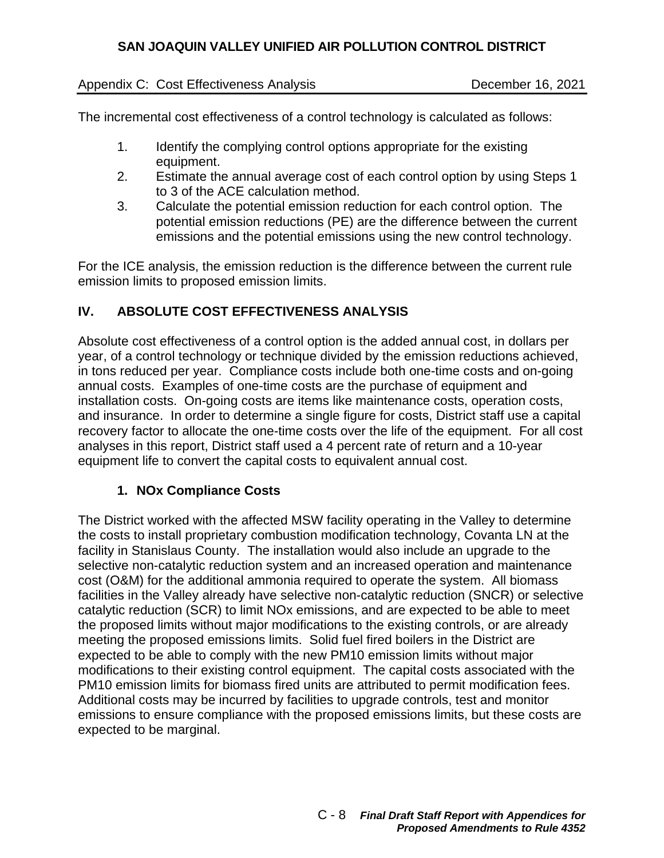|  | Appendix C: Cost Effectiveness Analysis |  |
|--|-----------------------------------------|--|
|  |                                         |  |

The incremental cost effectiveness of a control technology is calculated as follows:

- 1. Identify the complying control options appropriate for the existing equipment.
- 2. Estimate the annual average cost of each control option by using Steps 1 to 3 of the ACE calculation method.
- 3. Calculate the potential emission reduction for each control option. The potential emission reductions (PE) are the difference between the current emissions and the potential emissions using the new control technology.

For the ICE analysis, the emission reduction is the difference between the current rule emission limits to proposed emission limits.

# **IV. ABSOLUTE COST EFFECTIVENESS ANALYSIS**

Absolute cost effectiveness of a control option is the added annual cost, in dollars per year, of a control technology or technique divided by the emission reductions achieved, in tons reduced per year. Compliance costs include both one-time costs and on-going annual costs. Examples of one-time costs are the purchase of equipment and installation costs. On-going costs are items like maintenance costs, operation costs, and insurance. In order to determine a single figure for costs, District staff use a capital recovery factor to allocate the one-time costs over the life of the equipment. For all cost analyses in this report, District staff used a 4 percent rate of return and a 10-year equipment life to convert the capital costs to equivalent annual cost.

## **1. NOx Compliance Costs**

The District worked with the affected MSW facility operating in the Valley to determine the costs to install proprietary combustion modification technology, Covanta LN at the facility in Stanislaus County. The installation would also include an upgrade to the selective non-catalytic reduction system and an increased operation and maintenance cost (O&M) for the additional ammonia required to operate the system. All biomass facilities in the Valley already have selective non-catalytic reduction (SNCR) or selective catalytic reduction (SCR) to limit NOx emissions, and are expected to be able to meet the proposed limits without major modifications to the existing controls, or are already meeting the proposed emissions limits. Solid fuel fired boilers in the District are expected to be able to comply with the new PM10 emission limits without major modifications to their existing control equipment. The capital costs associated with the PM10 emission limits for biomass fired units are attributed to permit modification fees. Additional costs may be incurred by facilities to upgrade controls, test and monitor emissions to ensure compliance with the proposed emissions limits, but these costs are expected to be marginal.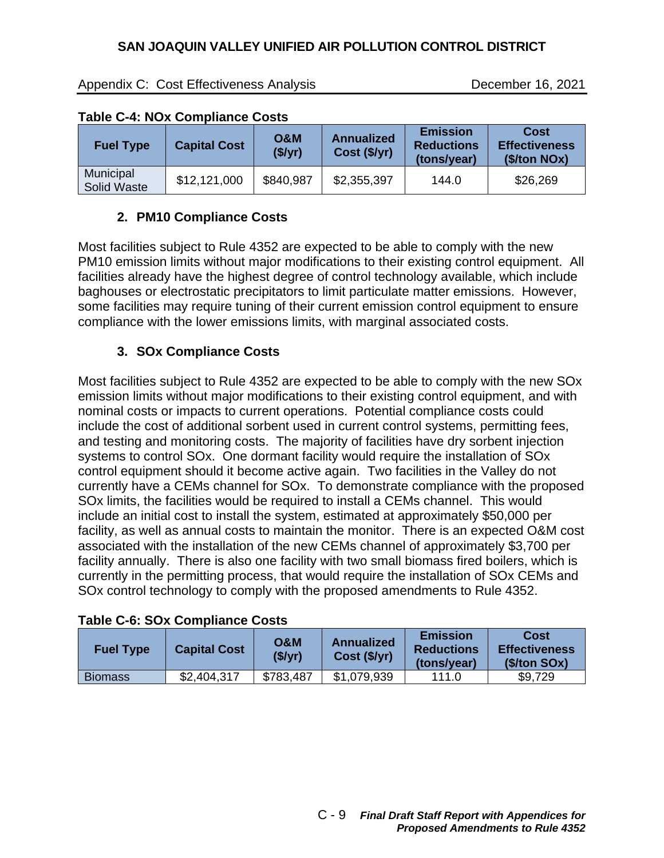| <b>Fuel Type</b>                       | <b>Capital Cost</b> | <b>O&amp;M</b><br>(\$/yr) | <b>Annualized</b><br>Cost (\$/yr) | <b>Emission</b><br><b>Reductions</b><br>(tons/year) | Cost<br><b>Effectiveness</b><br>(\$/ton NOx) |
|----------------------------------------|---------------------|---------------------------|-----------------------------------|-----------------------------------------------------|----------------------------------------------|
| <b>Municipal</b><br><b>Solid Waste</b> | \$12,121,000        | \$840,987                 | \$2,355,397                       | 144.0                                               | \$26,269                                     |

## **Table C-4: NOx Compliance Costs**

# **2. PM10 Compliance Costs**

Most facilities subject to Rule 4352 are expected to be able to comply with the new PM10 emission limits without major modifications to their existing control equipment. All facilities already have the highest degree of control technology available, which include baghouses or electrostatic precipitators to limit particulate matter emissions. However, some facilities may require tuning of their current emission control equipment to ensure compliance with the lower emissions limits, with marginal associated costs.

# **3. SOx Compliance Costs**

Most facilities subject to Rule 4352 are expected to be able to comply with the new SOx emission limits without major modifications to their existing control equipment, and with nominal costs or impacts to current operations. Potential compliance costs could include the cost of additional sorbent used in current control systems, permitting fees, and testing and monitoring costs. The majority of facilities have dry sorbent injection systems to control SOx. One dormant facility would require the installation of SOx control equipment should it become active again. Two facilities in the Valley do not currently have a CEMs channel for SOx. To demonstrate compliance with the proposed SOx limits, the facilities would be required to install a CEMs channel. This would include an initial cost to install the system, estimated at approximately \$50,000 per facility, as well as annual costs to maintain the monitor. There is an expected O&M cost associated with the installation of the new CEMs channel of approximately \$3,700 per facility annually. There is also one facility with two small biomass fired boilers, which is currently in the permitting process, that would require the installation of SOx CEMs and SOx control technology to comply with the proposed amendments to Rule 4352.

| <b>Fuel Type</b> | <b>Capital Cost</b> | O&M<br>$(\frac{5}{yr})$ | <b>Annualized</b><br>Cost (\$/yr) | <b>Emission</b><br><b>Reductions</b><br>(tons/year) | Cost<br><b>Effectiveness</b><br>(\$/ton SOx) |
|------------------|---------------------|-------------------------|-----------------------------------|-----------------------------------------------------|----------------------------------------------|
| <b>Biomass</b>   | \$2,404,317         | \$783,487               | \$1,079,939                       | 111.0                                               | \$9,729                                      |

## **Table C-6: SOx Compliance Costs**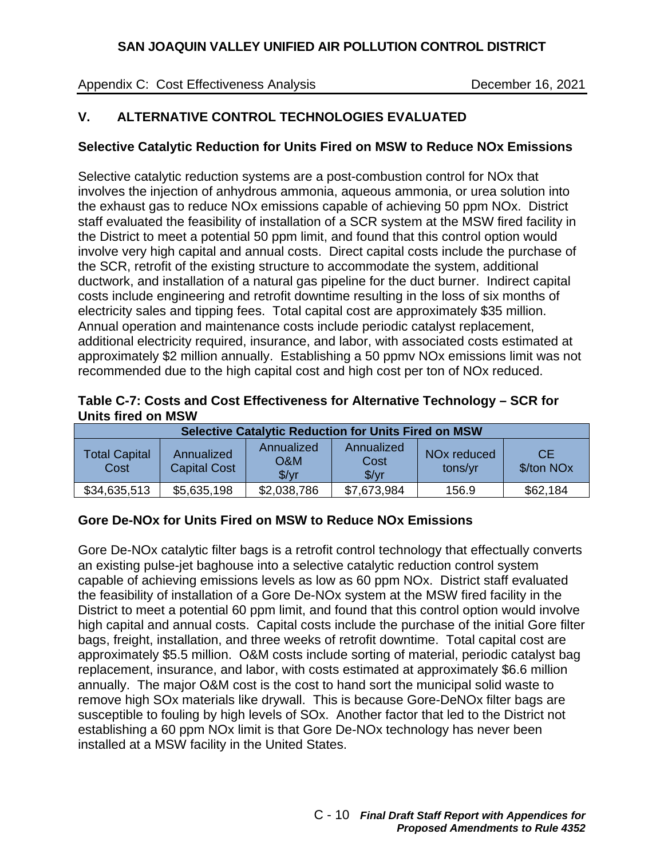Appendix C: Cost Effectiveness Analysis **December 16, 2021** 

## **V. ALTERNATIVE CONTROL TECHNOLOGIES EVALUATED**

#### **Selective Catalytic Reduction for Units Fired on MSW to Reduce NOx Emissions**

Selective catalytic reduction systems are a post-combustion control for NOx that involves the injection of anhydrous ammonia, aqueous ammonia, or urea solution into the exhaust gas to reduce NOx emissions capable of achieving 50 ppm NOx. District staff evaluated the feasibility of installation of a SCR system at the MSW fired facility in the District to meet a potential 50 ppm limit, and found that this control option would involve very high capital and annual costs. Direct capital costs include the purchase of the SCR, retrofit of the existing structure to accommodate the system, additional ductwork, and installation of a natural gas pipeline for the duct burner. Indirect capital costs include engineering and retrofit downtime resulting in the loss of six months of electricity sales and tipping fees. Total capital cost are approximately \$35 million. Annual operation and maintenance costs include periodic catalyst replacement, additional electricity required, insurance, and labor, with associated costs estimated at approximately \$2 million annually. Establishing a 50 ppmv NOx emissions limit was not recommended due to the high capital cost and high cost per ton of NOx reduced.

| Table C-7: Costs and Cost Effectiveness for Alternative Technology – SCR for |  |
|------------------------------------------------------------------------------|--|
| Units fired on MSW                                                           |  |

| <b>Selective Catalytic Reduction for Units Fired on MSW</b> |                                   |                            |                             |                                    |                              |
|-------------------------------------------------------------|-----------------------------------|----------------------------|-----------------------------|------------------------------------|------------------------------|
| <b>Total Capital</b><br>Cost                                | Annualized<br><b>Capital Cost</b> | Annualized<br>O&M<br>\$/vr | Annualized<br>Cost<br>\$/vr | NO <sub>x</sub> reduced<br>tons/yr | СE<br>\$/ton NO <sub>x</sub> |
| \$34,635,513                                                | \$5,635,198                       | \$2,038,786                | \$7,673,984                 | 156.9                              | \$62,184                     |

#### **Gore De-NOx for Units Fired on MSW to Reduce NOx Emissions**

Gore De-NOx catalytic filter bags is a retrofit control technology that effectually converts an existing pulse-jet baghouse into a selective catalytic reduction control system capable of achieving emissions levels as low as 60 ppm NOx. District staff evaluated the feasibility of installation of a Gore De-NOx system at the MSW fired facility in the District to meet a potential 60 ppm limit, and found that this control option would involve high capital and annual costs. Capital costs include the purchase of the initial Gore filter bags, freight, installation, and three weeks of retrofit downtime. Total capital cost are approximately \$5.5 million. O&M costs include sorting of material, periodic catalyst bag replacement, insurance, and labor, with costs estimated at approximately \$6.6 million annually. The major O&M cost is the cost to hand sort the municipal solid waste to remove high SOx materials like drywall. This is because Gore-DeNOx filter bags are susceptible to fouling by high levels of SOx. Another factor that led to the District not establishing a 60 ppm NOx limit is that Gore De-NOx technology has never been installed at a MSW facility in the United States.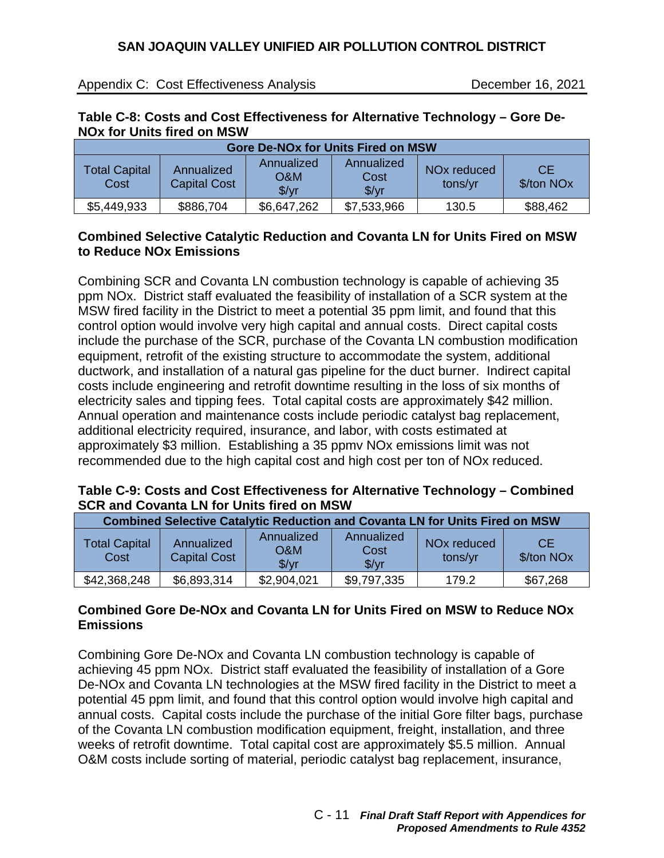|  | Appendix C: Cost Effectiveness Analysis |  |
|--|-----------------------------------------|--|
|  |                                         |  |

#### **Table C-8: Costs and Cost Effectiveness for Alternative Technology – Gore De-NOx for Units fired on MSW**

| <b>Gore De-NOx for Units Fired on MSW</b> |                                   |                            |                             |                                    |                                     |
|-------------------------------------------|-----------------------------------|----------------------------|-----------------------------|------------------------------------|-------------------------------------|
| Total Capital<br>Cost                     | Annualized<br><b>Capital Cost</b> | Annualized<br>O&M<br>\$/vr | Annualized<br>Cost<br>\$/vr | NO <sub>x</sub> reduced<br>tons/yr | <b>CE</b><br>\$/ton NO <sub>x</sub> |
| \$5,449,933                               | \$886,704                         | \$6,647,262                | \$7,533,966                 | 130.5                              | \$88,462                            |

## **Combined Selective Catalytic Reduction and Covanta LN for Units Fired on MSW to Reduce NOx Emissions**

Combining SCR and Covanta LN combustion technology is capable of achieving 35 ppm NOx. District staff evaluated the feasibility of installation of a SCR system at the MSW fired facility in the District to meet a potential 35 ppm limit, and found that this control option would involve very high capital and annual costs. Direct capital costs include the purchase of the SCR, purchase of the Covanta LN combustion modification equipment, retrofit of the existing structure to accommodate the system, additional ductwork, and installation of a natural gas pipeline for the duct burner. Indirect capital costs include engineering and retrofit downtime resulting in the loss of six months of electricity sales and tipping fees. Total capital costs are approximately \$42 million. Annual operation and maintenance costs include periodic catalyst bag replacement, additional electricity required, insurance, and labor, with costs estimated at approximately \$3 million. Establishing a 35 ppmv NOx emissions limit was not recommended due to the high capital cost and high cost per ton of NOx reduced.

## **Table C-9: Costs and Cost Effectiveness for Alternative Technology – Combined SCR and Covanta LN for Units fired on MSW**

| <b>Combined Selective Catalytic Reduction and Covanta LN for Units Fired on MSW</b> |                                   |                            |                             |                                    |                                     |
|-------------------------------------------------------------------------------------|-----------------------------------|----------------------------|-----------------------------|------------------------------------|-------------------------------------|
| <b>Total Capital</b><br>Cost                                                        | Annualized<br><b>Capital Cost</b> | Annualized<br>O&M<br>\$/vr | Annualized<br>Cost<br>\$/vr | NO <sub>x</sub> reduced<br>tons/yr | <b>CE</b><br>\$/ton NO <sub>x</sub> |
| \$42,368,248                                                                        | \$6,893,314                       | \$2,904,021                | \$9,797,335                 | 179.2                              | \$67,268                            |

## **Combined Gore De-NOx and Covanta LN for Units Fired on MSW to Reduce NOx Emissions**

Combining Gore De-NOx and Covanta LN combustion technology is capable of achieving 45 ppm NOx. District staff evaluated the feasibility of installation of a Gore De-NOx and Covanta LN technologies at the MSW fired facility in the District to meet a potential 45 ppm limit, and found that this control option would involve high capital and annual costs. Capital costs include the purchase of the initial Gore filter bags, purchase of the Covanta LN combustion modification equipment, freight, installation, and three weeks of retrofit downtime. Total capital cost are approximately \$5.5 million. Annual O&M costs include sorting of material, periodic catalyst bag replacement, insurance,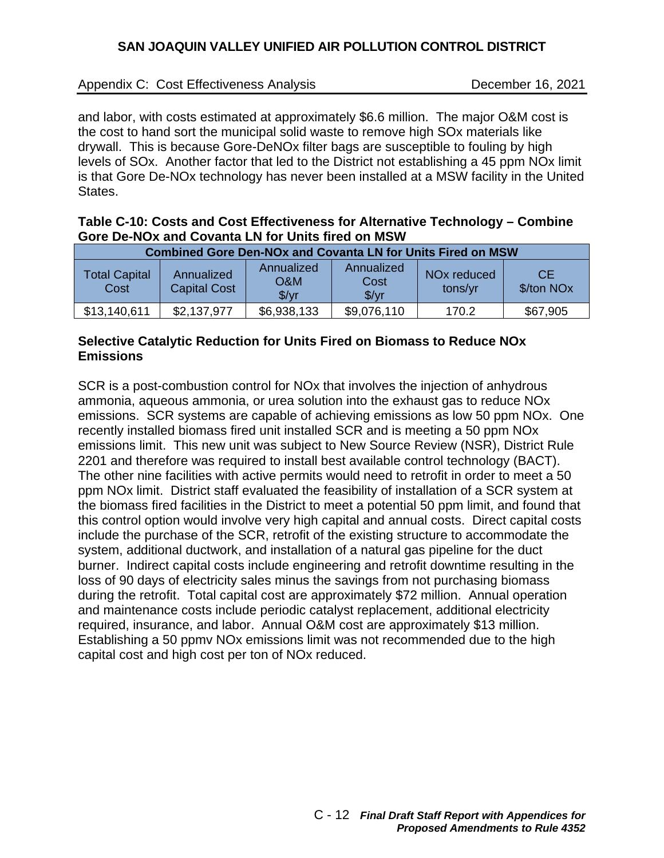#### Appendix C: Cost Effectiveness Analysis **December 16, 2021**

and labor, with costs estimated at approximately \$6.6 million. The major O&M cost is the cost to hand sort the municipal solid waste to remove high SOx materials like drywall. This is because Gore-DeNOx filter bags are susceptible to fouling by high levels of SOx. Another factor that led to the District not establishing a 45 ppm NOx limit is that Gore De-NOx technology has never been installed at a MSW facility in the United States.

| Table C-10: Costs and Cost Effectiveness for Alternative Technology – Combine |  |
|-------------------------------------------------------------------------------|--|
| Gore De-NOx and Covanta LN for Units fired on MSW                             |  |

| <b>Combined Gore Den-NOx and Covanta LN for Units Fired on MSW</b> |                                   |                                    |                             |                                    |                                     |  |  |
|--------------------------------------------------------------------|-----------------------------------|------------------------------------|-----------------------------|------------------------------------|-------------------------------------|--|--|
| <b>Total Capital</b><br>Cost                                       | Annualized<br><b>Capital Cost</b> | Annualized<br>O&M<br>$\frac{f}{f}$ | Annualized<br>Cost<br>\$/vr | NO <sub>x</sub> reduced<br>tons/yr | <b>CE</b><br>\$/ton NO <sub>x</sub> |  |  |
| \$13,140,611                                                       | \$2,137,977                       | \$6,938,133                        | \$9,076,110                 | 170.2                              | \$67,905                            |  |  |

## **Selective Catalytic Reduction for Units Fired on Biomass to Reduce NOx Emissions**

SCR is a post-combustion control for NOx that involves the injection of anhydrous ammonia, aqueous ammonia, or urea solution into the exhaust gas to reduce NOx emissions. SCR systems are capable of achieving emissions as low 50 ppm NOx. One recently installed biomass fired unit installed SCR and is meeting a 50 ppm NOx emissions limit. This new unit was subject to New Source Review (NSR), District Rule 2201 and therefore was required to install best available control technology (BACT). The other nine facilities with active permits would need to retrofit in order to meet a 50 ppm NOx limit. District staff evaluated the feasibility of installation of a SCR system at the biomass fired facilities in the District to meet a potential 50 ppm limit, and found that this control option would involve very high capital and annual costs. Direct capital costs include the purchase of the SCR, retrofit of the existing structure to accommodate the system, additional ductwork, and installation of a natural gas pipeline for the duct burner. Indirect capital costs include engineering and retrofit downtime resulting in the loss of 90 days of electricity sales minus the savings from not purchasing biomass during the retrofit. Total capital cost are approximately \$72 million. Annual operation and maintenance costs include periodic catalyst replacement, additional electricity required, insurance, and labor. Annual O&M cost are approximately \$13 million. Establishing a 50 ppmv NOx emissions limit was not recommended due to the high capital cost and high cost per ton of NOx reduced.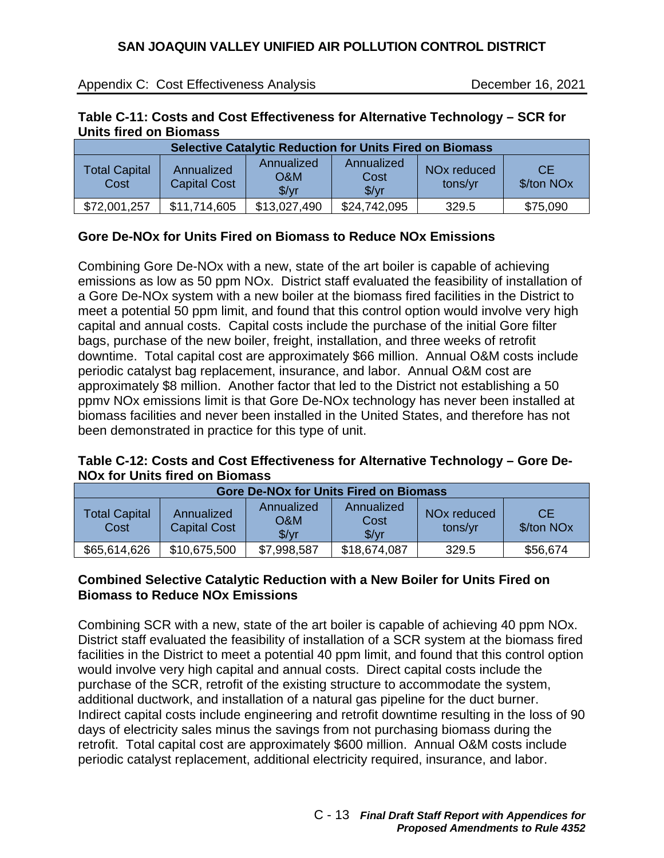|  | Appendix C: Cost Effectiveness Analysis |  |
|--|-----------------------------------------|--|
|  |                                         |  |

#### **Table C-11: Costs and Cost Effectiveness for Alternative Technology – SCR for Units fired on Biomass**

| <b>Selective Catalytic Reduction for Units Fired on Biomass</b> |                                   |                            |                            |                                    |                                     |  |  |
|-----------------------------------------------------------------|-----------------------------------|----------------------------|----------------------------|------------------------------------|-------------------------------------|--|--|
| <b>Total Capital</b><br>Cost                                    | Annualized<br><b>Capital Cost</b> | Annualized<br>O&M<br>\$/vr | Annualized<br>Cost<br>S/vr | NO <sub>x</sub> reduced<br>tons/yr | <b>CE</b><br>\$/ton NO <sub>x</sub> |  |  |
| \$72,001,257                                                    | \$11,714,605                      | \$13,027,490               | \$24,742,095               | 329.5                              | \$75,090                            |  |  |

## **Gore De-NOx for Units Fired on Biomass to Reduce NOx Emissions**

Combining Gore De-NOx with a new, state of the art boiler is capable of achieving emissions as low as 50 ppm NOx. District staff evaluated the feasibility of installation of a Gore De-NOx system with a new boiler at the biomass fired facilities in the District to meet a potential 50 ppm limit, and found that this control option would involve very high capital and annual costs. Capital costs include the purchase of the initial Gore filter bags, purchase of the new boiler, freight, installation, and three weeks of retrofit downtime. Total capital cost are approximately \$66 million. Annual O&M costs include periodic catalyst bag replacement, insurance, and labor. Annual O&M cost are approximately \$8 million. Another factor that led to the District not establishing a 50 ppmv NOx emissions limit is that Gore De-NOx technology has never been installed at biomass facilities and never been installed in the United States, and therefore has not been demonstrated in practice for this type of unit.

## **Table C-12: Costs and Cost Effectiveness for Alternative Technology – Gore De-NOx for Units fired on Biomass**

| Gore De-NOx for Units Fired on Biomass |                                   |                            |                             |       |                                     |  |  |
|----------------------------------------|-----------------------------------|----------------------------|-----------------------------|-------|-------------------------------------|--|--|
| <b>Total Capital</b><br>Cost           | Annualized<br><b>Capital Cost</b> | Annualized<br>O&M<br>\$/vr | Annualized<br>Cost<br>\$/vr |       | <b>CE</b><br>\$/ton NO <sub>x</sub> |  |  |
| \$65,614,626                           | \$10,675,500                      | \$7,998,587                | \$18,674,087                | 329.5 | \$56,674                            |  |  |

## **Combined Selective Catalytic Reduction with a New Boiler for Units Fired on Biomass to Reduce NOx Emissions**

Combining SCR with a new, state of the art boiler is capable of achieving 40 ppm NOx. District staff evaluated the feasibility of installation of a SCR system at the biomass fired facilities in the District to meet a potential 40 ppm limit, and found that this control option would involve very high capital and annual costs. Direct capital costs include the purchase of the SCR, retrofit of the existing structure to accommodate the system, additional ductwork, and installation of a natural gas pipeline for the duct burner. Indirect capital costs include engineering and retrofit downtime resulting in the loss of 90 days of electricity sales minus the savings from not purchasing biomass during the retrofit. Total capital cost are approximately \$600 million. Annual O&M costs include periodic catalyst replacement, additional electricity required, insurance, and labor.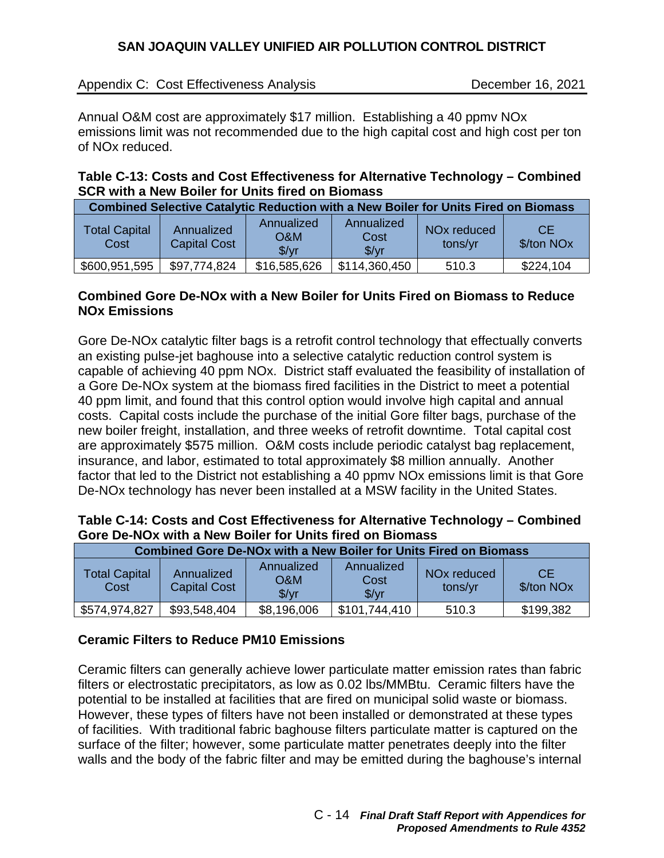|  | Appendix C: Cost Effectiveness Analysis |  |
|--|-----------------------------------------|--|
|  |                                         |  |

Annual O&M cost are approximately \$17 million. Establishing a 40 ppmv NOx emissions limit was not recommended due to the high capital cost and high cost per ton of NOx reduced.

## **Table C-13: Costs and Cost Effectiveness for Alternative Technology – Combined SCR with a New Boiler for Units fired on Biomass**

| <b>Combined Selective Catalytic Reduction with a New Boiler for Units Fired on Biomass</b> |                                   |                            |                            |                                    |                               |  |  |
|--------------------------------------------------------------------------------------------|-----------------------------------|----------------------------|----------------------------|------------------------------------|-------------------------------|--|--|
| <b>Total Capital</b><br>Cost                                                               | Annualized<br><b>Capital Cost</b> | Annualized<br>O&M<br>\$/vr | Annualized<br>Cost<br>S/vr | NO <sub>x</sub> reduced<br>tons/yr | CE.<br>\$/ton NO <sub>x</sub> |  |  |
| \$600,951,595                                                                              | \$97.774.824                      | \$16,585,626               | \$114,360,450              | 510.3                              | \$224,104                     |  |  |

## **Combined Gore De-NOx with a New Boiler for Units Fired on Biomass to Reduce NOx Emissions**

Gore De-NOx catalytic filter bags is a retrofit control technology that effectually converts an existing pulse-jet baghouse into a selective catalytic reduction control system is capable of achieving 40 ppm NOx. District staff evaluated the feasibility of installation of a Gore De-NOx system at the biomass fired facilities in the District to meet a potential 40 ppm limit, and found that this control option would involve high capital and annual costs. Capital costs include the purchase of the initial Gore filter bags, purchase of the new boiler freight, installation, and three weeks of retrofit downtime. Total capital cost are approximately \$575 million. O&M costs include periodic catalyst bag replacement, insurance, and labor, estimated to total approximately \$8 million annually. Another factor that led to the District not establishing a 40 ppmv NOx emissions limit is that Gore De-NOx technology has never been installed at a MSW facility in the United States.

#### **Table C-14: Costs and Cost Effectiveness for Alternative Technology – Combined Gore De-NOx with a New Boiler for Units fired on Biomass**

| <b>Combined Gore De-NOx with a New Boiler for Units Fired on Biomass</b> |                                   |                                    |                            |                                    |                                     |  |  |
|--------------------------------------------------------------------------|-----------------------------------|------------------------------------|----------------------------|------------------------------------|-------------------------------------|--|--|
| <b>Total Capital</b><br>Cost                                             | Annualized<br><b>Capital Cost</b> | Annualized<br>O&M<br>$\frac{f}{f}$ | Annualized<br>Cost<br>S/vr | NO <sub>x</sub> reduced<br>tons/yr | <b>CE</b><br>\$/ton NO <sub>x</sub> |  |  |
| \$574,974,827                                                            | \$93,548,404                      | \$8,196,006                        | \$101,744,410              | 510.3                              | \$199,382                           |  |  |

## **Ceramic Filters to Reduce PM10 Emissions**

Ceramic filters can generally achieve lower particulate matter emission rates than fabric filters or electrostatic precipitators, as low as 0.02 lbs/MMBtu. Ceramic filters have the potential to be installed at facilities that are fired on municipal solid waste or biomass. However, these types of filters have not been installed or demonstrated at these types of facilities. With traditional fabric baghouse filters particulate matter is captured on the surface of the filter; however, some particulate matter penetrates deeply into the filter walls and the body of the fabric filter and may be emitted during the baghouse's internal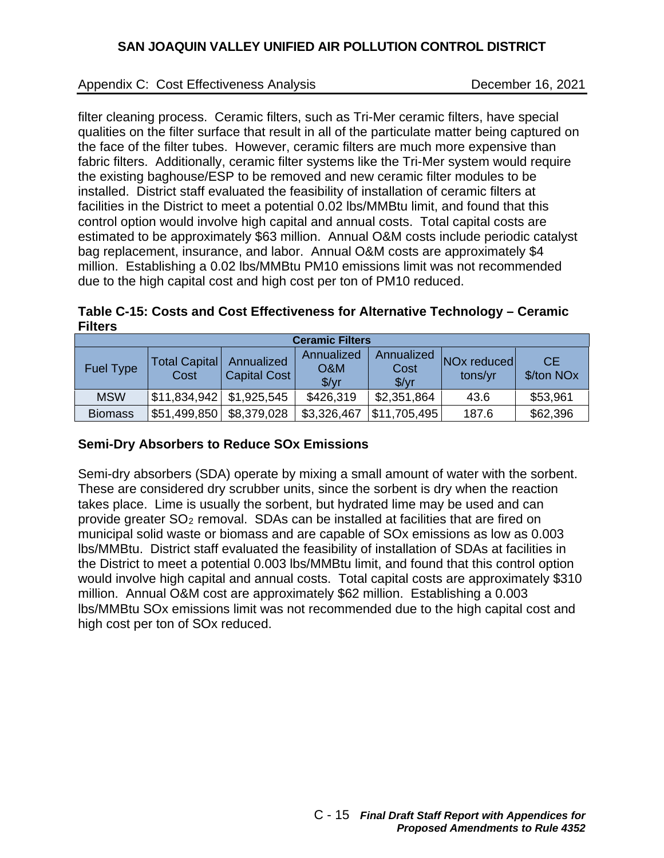#### Appendix C: Cost Effectiveness Analysis **December 16, 2021**

filter cleaning process. Ceramic filters, such as Tri-Mer ceramic filters, have special qualities on the filter surface that result in all of the particulate matter being captured on the face of the filter tubes. However, ceramic filters are much more expensive than fabric filters. Additionally, ceramic filter systems like the Tri-Mer system would require the existing baghouse/ESP to be removed and new ceramic filter modules to be installed. District staff evaluated the feasibility of installation of ceramic filters at facilities in the District to meet a potential 0.02 lbs/MMBtu limit, and found that this control option would involve high capital and annual costs. Total capital costs are estimated to be approximately \$63 million. Annual O&M costs include periodic catalyst bag replacement, insurance, and labor. Annual O&M costs are approximately \$4 million. Establishing a 0.02 lbs/MMBtu PM10 emissions limit was not recommended due to the high capital cost and high cost per ton of PM10 reduced.

**Table C-15: Costs and Cost Effectiveness for Alternative Technology – Ceramic Filters**

| <b>Ceramic Filters</b> |                              |                            |                                               |                                       |                                    |                               |  |
|------------------------|------------------------------|----------------------------|-----------------------------------------------|---------------------------------------|------------------------------------|-------------------------------|--|
| Fuel Type              | <b>Total Capital</b><br>Cost | Annualized<br>Capital Cost | Annualized<br><b>O&amp;M</b><br>$\frac{f}{f}$ | Annualized<br>Cost<br>$\sqrt[6]{y}$ r | NO <sub>x</sub> reduced<br>tons/yr | CE.<br>\$/ton NO <sub>x</sub> |  |
| <b>MSW</b>             | S11,834,942   \$1,925,545    |                            | \$426,319                                     | \$2,351,864                           | 43.6                               | \$53,961                      |  |
| <b>Biomass</b>         | \$51,499,850                 | \$8,379,028                | \$3,326,467                                   | $\sqrt{511,705,495}$                  | 187.6                              | \$62,396                      |  |

#### **Semi-Dry Absorbers to Reduce SOx Emissions**

Semi-dry absorbers (SDA) operate by mixing a small amount of water with the sorbent. These are considered dry scrubber units, since the sorbent is dry when the reaction takes place. Lime is usually the sorbent, but hydrated lime may be used and can provide greater SO2 removal. SDAs can be installed at facilities that are fired on municipal solid waste or biomass and are capable of SOx emissions as low as 0.003 lbs/MMBtu. District staff evaluated the feasibility of installation of SDAs at facilities in the District to meet a potential 0.003 lbs/MMBtu limit, and found that this control option would involve high capital and annual costs. Total capital costs are approximately \$310 million. Annual O&M cost are approximately \$62 million. Establishing a 0.003 lbs/MMBtu SOx emissions limit was not recommended due to the high capital cost and high cost per ton of SOx reduced.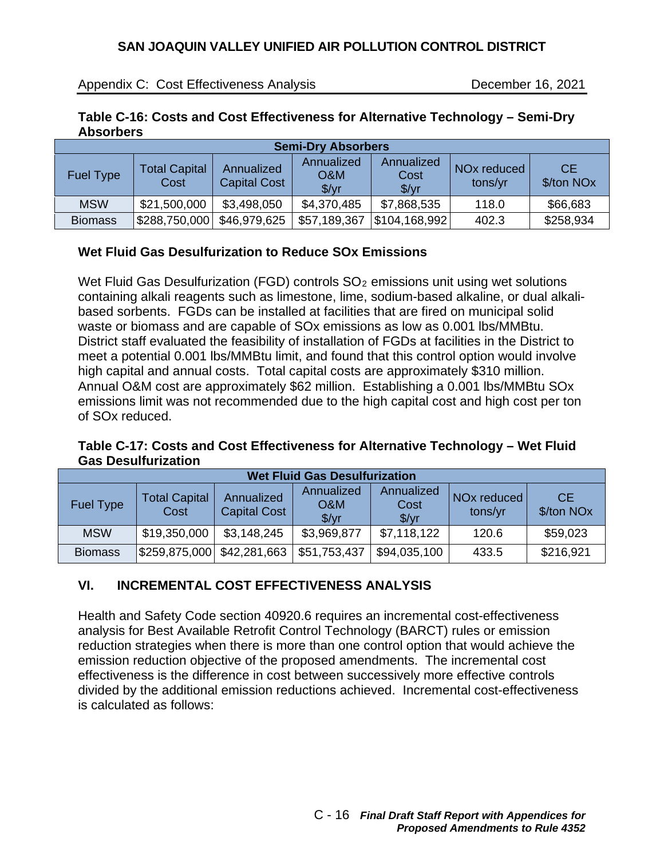#### **Table C-16: Costs and Cost Effectiveness for Alternative Technology – Semi-Dry Absorbers**

| <b>Semi-Dry Absorbers</b> |                              |                                   |                                    |                                     |                                    |                               |
|---------------------------|------------------------------|-----------------------------------|------------------------------------|-------------------------------------|------------------------------------|-------------------------------|
| Fuel Type                 | <b>Total Capital</b><br>Cost | Annualized<br><b>Capital Cost</b> | Annualized<br>O&M<br>$\frac{f}{f}$ | Annualized<br>Cost<br>$\frac{f}{f}$ | NO <sub>x</sub> reduced<br>tons/yr | CE.<br>\$/ton NO <sub>x</sub> |
| <b>MSW</b>                | \$21,500,000                 | \$3,498,050                       | \$4,370,485                        | \$7,868,535                         | 118.0                              | \$66,683                      |
| <b>Biomass</b>            | \$288,750,000                | \$46,979,625                      | \$57,189,367                       | \$104,168,992                       | 402.3                              | \$258,934                     |

## **Wet Fluid Gas Desulfurization to Reduce SOx Emissions**

Wet Fluid Gas Desulfurization (FGD) controls  $SO<sub>2</sub>$  emissions unit using wet solutions containing alkali reagents such as limestone, lime, sodium-based alkaline, or dual alkalibased sorbents. FGDs can be installed at facilities that are fired on municipal solid waste or biomass and are capable of SOx emissions as low as 0.001 lbs/MMBtu. District staff evaluated the feasibility of installation of FGDs at facilities in the District to meet a potential 0.001 lbs/MMBtu limit, and found that this control option would involve high capital and annual costs. Total capital costs are approximately \$310 million. Annual O&M cost are approximately \$62 million. Establishing a 0.001 lbs/MMBtu SOx emissions limit was not recommended due to the high capital cost and high cost per ton of SOx reduced.

#### **Table C-17: Costs and Cost Effectiveness for Alternative Technology – Wet Fluid Gas Desulfurization**

| <b>Wet Fluid Gas Desulfurization</b> |                              |                                   |                                    |                                     |                                    |                              |  |
|--------------------------------------|------------------------------|-----------------------------------|------------------------------------|-------------------------------------|------------------------------------|------------------------------|--|
| <b>Fuel Type</b>                     | <b>Total Capital</b><br>Cost | Annualized<br><b>Capital Cost</b> | Annualized<br>O&M<br>$\frac{f}{f}$ | Annualized<br>Cost<br>$\frac{f}{f}$ | NO <sub>x</sub> reduced<br>tons/yr | СE<br>\$/ton NO <sub>x</sub> |  |
| <b>MSW</b>                           | \$19,350,000                 | \$3,148,245                       | \$3,969,877                        | \$7,118,122                         | 120.6                              | \$59,023                     |  |
| <b>Biomass</b>                       | \$259,875,000  \$42,281,663  |                                   | \$51,753,437                       | \$94,035,100                        | 433.5                              | \$216,921                    |  |

# **VI. INCREMENTAL COST EFFECTIVENESS ANALYSIS**

Health and Safety Code section 40920.6 requires an incremental cost-effectiveness analysis for Best Available Retrofit Control Technology (BARCT) rules or emission reduction strategies when there is more than one control option that would achieve the emission reduction objective of the proposed amendments. The incremental cost effectiveness is the difference in cost between successively more effective controls divided by the additional emission reductions achieved. Incremental cost-effectiveness is calculated as follows: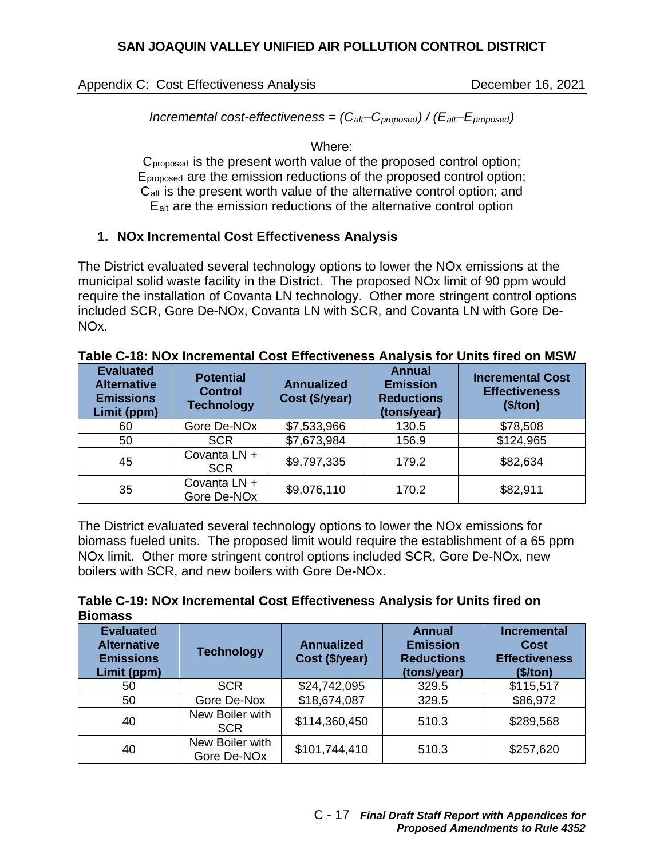Appendix C: Cost Effectiveness Analysis **December 16, 2021** 

*Incremental cost-effectiveness = (Calt–Cproposed) / (Ealt–Eproposed)*

Where:

C<sub>proposed</sub> is the present worth value of the proposed control option; Eproposed are the emission reductions of the proposed control option; C<sub>alt</sub> is the present worth value of the alternative control option; and Ealt are the emission reductions of the alternative control option

## **1. NOx Incremental Cost Effectiveness Analysis**

The District evaluated several technology options to lower the NOx emissions at the municipal solid waste facility in the District. The proposed NOx limit of 90 ppm would require the installation of Covanta LN technology. Other more stringent control options included SCR, Gore De-NOx, Covanta LN with SCR, and Covanta LN with Gore De-NOx.

| <b>Evaluated</b><br><b>Alternative</b><br><b>Emissions</b><br>Limit (ppm) | <b>Potential</b><br><b>Control</b><br><b>Technology</b> | <b>Annualized</b><br>Cost (\$/year) | <b>Annual</b><br><b>Emission</b><br><b>Reductions</b><br>(tons/year) | <b>Incremental Cost</b><br><b>Effectiveness</b><br>(\$/ton) |
|---------------------------------------------------------------------------|---------------------------------------------------------|-------------------------------------|----------------------------------------------------------------------|-------------------------------------------------------------|
| 60                                                                        | Gore De-NO <sub>x</sub>                                 | \$7,533,966                         | 130.5                                                                | \$78,508                                                    |
| 50                                                                        | <b>SCR</b>                                              | \$7,673,984                         | 156.9                                                                | \$124,965                                                   |
| 45                                                                        | Covanta LN +<br><b>SCR</b>                              | \$9,797,335                         | 179.2                                                                | \$82,634                                                    |
| 35                                                                        | Covanta LN +<br>Gore De-NO <sub>x</sub>                 | \$9,076,110                         | 170.2                                                                | \$82,911                                                    |

**Table C-18: NOx Incremental Cost Effectiveness Analysis for Units fired on MSW**

The District evaluated several technology options to lower the NOx emissions for biomass fueled units. The proposed limit would require the establishment of a 65 ppm NOx limit. Other more stringent control options included SCR, Gore De-NOx, new boilers with SCR, and new boilers with Gore De-NOx.

| Table C-19: NOx Incremental Cost Effectiveness Analysis for Units fired on |  |
|----------------------------------------------------------------------------|--|
| <b>Biomass</b>                                                             |  |

| <b>Evaluated</b><br><b>Alternative</b><br><b>Emissions</b><br>Limit (ppm) | <b>Technology</b>                          | <b>Annualized</b><br>Cost (\$/year) | <b>Annual</b><br><b>Emission</b><br><b>Reductions</b><br>(tons/year) | <b>Incremental</b><br><b>Cost</b><br><b>Effectiveness</b><br>(\$/ton) |
|---------------------------------------------------------------------------|--------------------------------------------|-------------------------------------|----------------------------------------------------------------------|-----------------------------------------------------------------------|
| 50                                                                        | <b>SCR</b>                                 | \$24,742,095                        | 329.5                                                                | \$115,517                                                             |
| 50                                                                        | Gore De-Nox                                | \$18,674,087                        | 329.5                                                                | \$86,972                                                              |
| 40                                                                        | New Boiler with<br><b>SCR</b>              | \$114,360,450                       | 510.3                                                                | \$289,568                                                             |
| 40                                                                        | New Boiler with<br>Gore De-NO <sub>x</sub> | \$101,744,410                       | 510.3                                                                | \$257,620                                                             |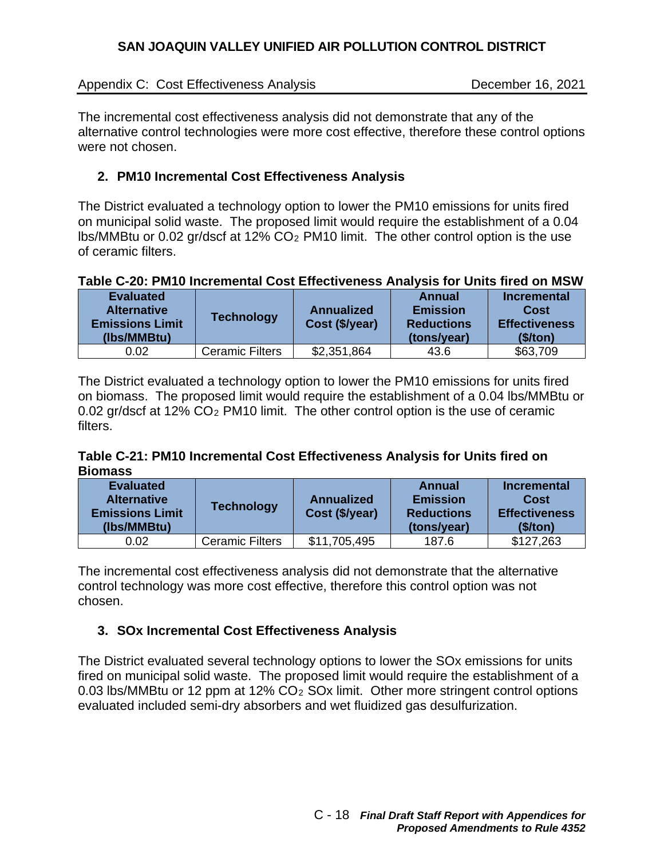|  |  | Appendix C: Cost Effectiveness Analysis |  |
|--|--|-----------------------------------------|--|
|--|--|-----------------------------------------|--|

December 16, 2021

The incremental cost effectiveness analysis did not demonstrate that any of the alternative control technologies were more cost effective, therefore these control options were not chosen.

## **2. PM10 Incremental Cost Effectiveness Analysis**

The District evaluated a technology option to lower the PM10 emissions for units fired on municipal solid waste. The proposed limit would require the establishment of a 0.04 lbs/MMBtu or 0.02 gr/dscf at 12% CO2 PM10 limit. The other control option is the use of ceramic filters.

#### **Table C-20: PM10 Incremental Cost Effectiveness Analysis for Units fired on MSW**

| <b>Evaluated</b><br><b>Alternative</b><br><b>Emissions Limit</b><br>(Ibs/MMBtu) | <b>Technology</b>      | <b>Annualized</b><br>Cost (\$/year) | Annual<br><b>Emission</b><br><b>Reductions</b><br>(tons/year) | Incremental<br>Cost<br><b>Effectiveness</b><br>(\$/ton) |
|---------------------------------------------------------------------------------|------------------------|-------------------------------------|---------------------------------------------------------------|---------------------------------------------------------|
| 0.02                                                                            | <b>Ceramic Filters</b> | \$2,351,864                         | 43.6                                                          | \$63,709                                                |

The District evaluated a technology option to lower the PM10 emissions for units fired on biomass. The proposed limit would require the establishment of a 0.04 lbs/MMBtu or 0.02 gr/dscf at 12% CO<sub>2</sub> PM10 limit. The other control option is the use of ceramic filters.

#### **Table C-21: PM10 Incremental Cost Effectiveness Analysis for Units fired on Biomass**

| <b>Evaluated</b><br><b>Alternative</b><br><b>Emissions Limit</b><br>(Ibs/MMBtu) | <b>Technology</b>      | Annualized<br>Cost (\$/year) | Annual<br><b>Emission</b><br><b>Reductions</b><br>(tons/year) | <b>Incremental</b><br>Cost<br><b>Effectiveness</b><br>(\$/ton) |
|---------------------------------------------------------------------------------|------------------------|------------------------------|---------------------------------------------------------------|----------------------------------------------------------------|
| 0.02                                                                            | <b>Ceramic Filters</b> | \$11,705,495                 | 187.6                                                         | \$127,263                                                      |

The incremental cost effectiveness analysis did not demonstrate that the alternative control technology was more cost effective, therefore this control option was not chosen.

## **3. SOx Incremental Cost Effectiveness Analysis**

The District evaluated several technology options to lower the SOx emissions for units fired on municipal solid waste. The proposed limit would require the establishment of a 0.03 lbs/MMBtu or 12 ppm at 12% CO<sub>2</sub> SOx limit. Other more stringent control options evaluated included semi-dry absorbers and wet fluidized gas desulfurization.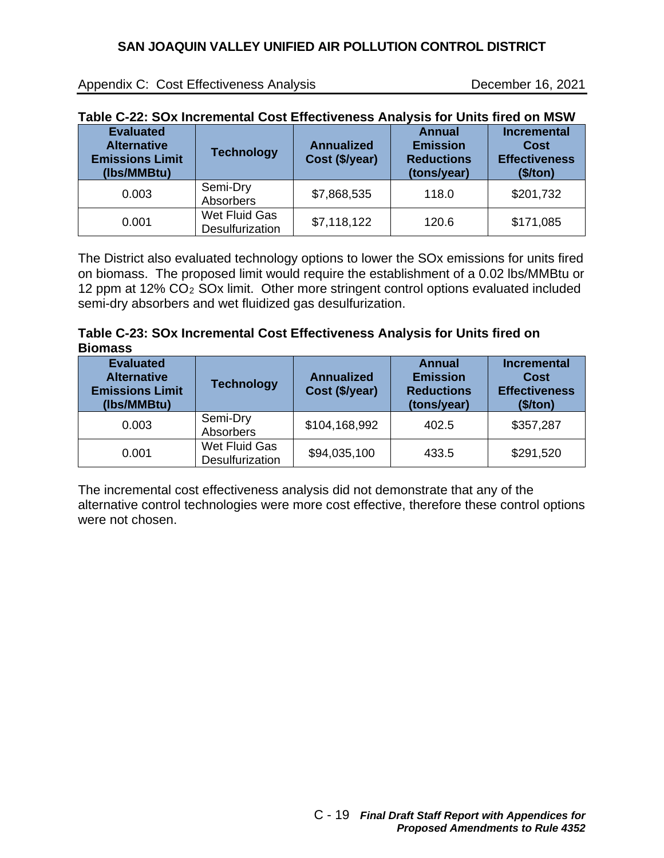|  | Appendix C: Cost Effectiveness Analysis |  |
|--|-----------------------------------------|--|
|  |                                         |  |

December 16, 2021

| ונטוונט ווויט שונג טייל הייטוויט וויס וויס הייטו איז הייטו וויס הייטו וויס הייטו וויס הייטו<br><b>Evaluated</b><br><b>Alternative</b><br><b>Emissions Limit</b><br>(Ibs/MMBtu) | <b>Technology</b>                       | <b>Annualized</b><br>Cost (\$/year) | <b>Annual</b><br><b>Emission</b><br><b>Reductions</b><br>(tons/year) | <b>Incremental</b><br><b>Cost</b><br><b>Effectiveness</b><br>(\$/ton) |
|--------------------------------------------------------------------------------------------------------------------------------------------------------------------------------|-----------------------------------------|-------------------------------------|----------------------------------------------------------------------|-----------------------------------------------------------------------|
| 0.003                                                                                                                                                                          | Semi-Dry<br>Absorbers                   | \$7,868,535                         | 118.0                                                                | \$201,732                                                             |
| 0.001                                                                                                                                                                          | <b>Wet Fluid Gas</b><br>Desulfurization | \$7,118,122                         | 120.6                                                                | \$171,085                                                             |

## **Table C-22: SOx Incremental Cost Effectiveness Analysis for Units fired on MSW**

The District also evaluated technology options to lower the SOx emissions for units fired on biomass. The proposed limit would require the establishment of a 0.02 lbs/MMBtu or 12 ppm at 12% CO2 SOx limit. Other more stringent control options evaluated included semi-dry absorbers and wet fluidized gas desulfurization.

#### **Table C-23: SOx Incremental Cost Effectiveness Analysis for Units fired on Biomass**

| <b>Evaluated</b><br><b>Alternative</b><br><b>Emissions Limit</b><br>(Ibs/MMBtu) | <b>Technology</b>                              | <b>Annualized</b><br>Cost (\$/year) | Annual<br><b>Emission</b><br><b>Reductions</b><br>(tons/year) | <b>Incremental</b><br><b>Cost</b><br><b>Effectiveness</b><br>(\$/ton) |
|---------------------------------------------------------------------------------|------------------------------------------------|-------------------------------------|---------------------------------------------------------------|-----------------------------------------------------------------------|
| 0.003                                                                           | Semi-Dry<br>Absorbers                          | \$104,168,992                       | 402.5                                                         | \$357,287                                                             |
| 0.001                                                                           | <b>Wet Fluid Gas</b><br><b>Desulfurization</b> | \$94,035,100                        | 433.5                                                         | \$291,520                                                             |

The incremental cost effectiveness analysis did not demonstrate that any of the alternative control technologies were more cost effective, therefore these control options were not chosen.